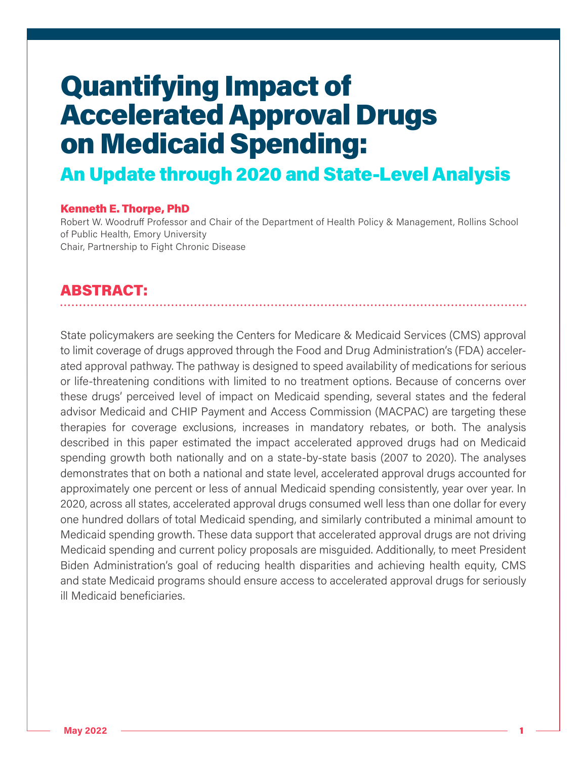## An Update through 2020 and State-Level Analysis

#### Kenneth E. Thorpe, PhD

Robert W. Woodruff Professor and Chair of the Department of Health Policy & Management, Rollins School of Public Health, Emory University Chair, Partnership to Fight Chronic Disease

## ABSTRACT:

State policymakers are seeking the Centers for Medicare & Medicaid Services (CMS) approval to limit coverage of drugs approved through the Food and Drug Administration's (FDA) accelerated approval pathway. The pathway is designed to speed availability of medications for serious or life-threatening conditions with limited to no treatment options. Because of concerns over these drugs' perceived level of impact on Medicaid spending, several states and the federal advisor Medicaid and CHIP Payment and Access Commission (MACPAC) are targeting these therapies for coverage exclusions, increases in mandatory rebates, or both. The analysis described in this paper estimated the impact accelerated approved drugs had on Medicaid spending growth both nationally and on a state-by-state basis (2007 to 2020). The analyses demonstrates that on both a national and state level, accelerated approval drugs accounted for approximately one percent or less of annual Medicaid spending consistently, year over year. In 2020, across all states, accelerated approval drugs consumed well less than one dollar for every one hundred dollars of total Medicaid spending, and similarly contributed a minimal amount to Medicaid spending growth. These data support that accelerated approval drugs are not driving Medicaid spending and current policy proposals are misguided. Additionally, to meet President Biden Administration's goal of reducing health disparities and achieving health equity, CMS and state Medicaid programs should ensure access to accelerated approval drugs for seriously ill Medicaid beneficiaries.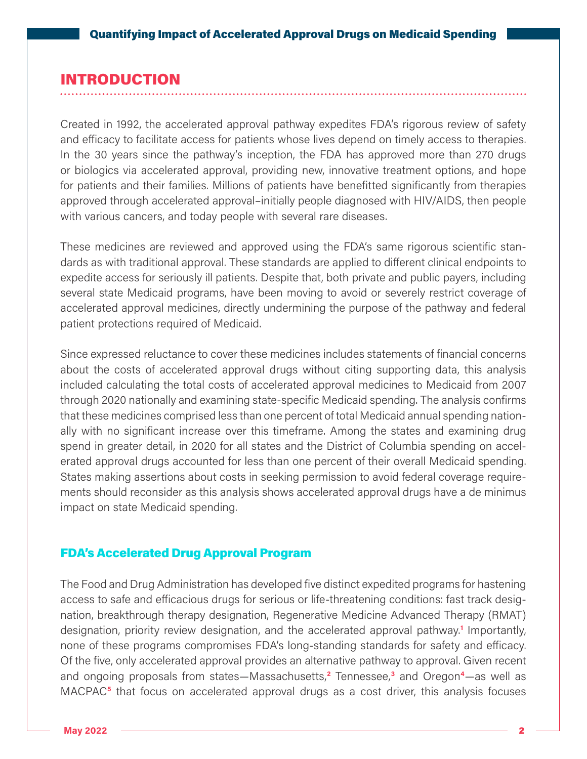## INTRODUCTION

Created in 1992, the accelerated approval pathway expedites FDA's rigorous review of safety and efficacy to facilitate access for patients whose lives depend on timely access to therapies. In the 30 years since the pathway's inception, the FDA has approved more than 270 drugs or biologics via accelerated approval, providing new, innovative treatment options, and hope for patients and their families. Millions of patients have benefitted significantly from therapies approved through accelerated approval–initially people diagnosed with HIV/AIDS, then people with various cancers, and today people with several rare diseases.

These medicines are reviewed and approved using the FDA's same rigorous scientific standards as with traditional approval. These standards are applied to different clinical endpoints to expedite access for seriously ill patients. Despite that, both private and public payers, including several state Medicaid programs, have been moving to avoid or severely restrict coverage of accelerated approval medicines, directly undermining the purpose of the pathway and federal patient protections required of Medicaid.

Since expressed reluctance to cover these medicines includes statements of financial concerns about the costs of accelerated approval drugs without citing supporting data, this analysis included calculating the total costs of accelerated approval medicines to Medicaid from 2007 through 2020 nationally and examining state-specific Medicaid spending. The analysis confirms that these medicines comprised less than one percent of total Medicaid annual spending nationally with no significant increase over this timeframe. Among the states and examining drug spend in greater detail, in 2020 for all states and the District of Columbia spending on accelerated approval drugs accounted for less than one percent of their overall Medicaid spending. States making assertions about costs in seeking permission to avoid federal coverage requirements should reconsider as this analysis shows accelerated approval drugs have a de minimus impact on state Medicaid spending.

#### FDA's Accelerated Drug Approval Program

The Food and Drug Administration has developed five distinct expedited programs for hastening access to safe and efficacious drugs for serious or life-threatening conditions: fast track designation, breakthrough therapy designation, Regenerative Medicine Advanced Therapy (RMAT) designation, priority review designation, and the accelerated approval pathway.**<sup>1</sup>** Importantly, none of these programs compromises FDA's long-standing standards for safety and efficacy. Of the five, only accelerated approval provides an alternative pathway to approval. Given recent and ongoing proposals from states—Massachusetts,**<sup>2</sup>** Tennessee,**<sup>3</sup>** and Oregon**4**—as well as MACPAC**5** that focus on accelerated approval drugs as a cost driver, this analysis focuses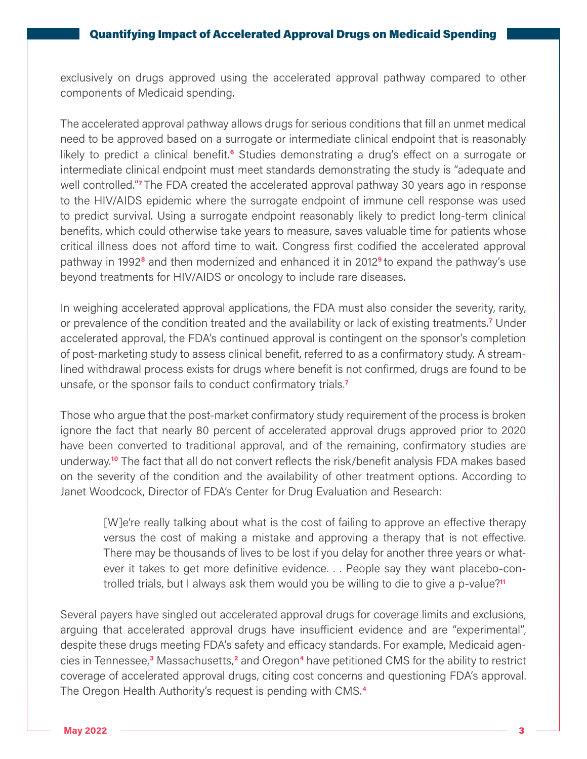exclusively on drugs approved using the accelerated approval pathway compared to other components of Medicaid spending.

The accelerated approval pathway allows drugs for serious conditions that fill an unmet medical need to be approved based on a surrogate or intermediate clinical endpoint that is reasonably likely to predict a clinical benefit.**6** Studies demonstrating a drug's effect on a surrogate or intermediate clinical endpoint must meet standards demonstrating the study is "adequate and well controlled."**7** The FDA created the accelerated approval pathway 30 years ago in response to the HIV/AIDS epidemic where the surrogate endpoint of immune cell response was used to predict survival. Using a surrogate endpoint reasonably likely to predict long-term clinical benefits, which could otherwise take years to measure, saves valuable time for patients whose critical illness does not afford time to wait. Congress first codified the accelerated approval pathway in 1992**8** and then modernized and enhanced it in 2012**9** to expand the pathway's use beyond treatments for HIV/AIDS or oncology to include rare diseases.

In weighing accelerated approval applications, the FDA must also consider the severity, rarity, or prevalence of the condition treated and the availability or lack of existing treatments.**<sup>7</sup>** Under accelerated approval, the FDA's continued approval is contingent on the sponsor's completion of post-marketing study to assess clinical benefit, referred to as a confirmatory study. A streamlined withdrawal process exists for drugs where benefit is not confirmed, drugs are found to be unsafe, or the sponsor fails to conduct confirmatory trials.**<sup>7</sup>**

Those who argue that the post-market confirmatory study requirement of the process is broken ignore the fact that nearly 80 percent of accelerated approval drugs approved prior to 2020 have been converted to traditional approval, and of the remaining, confirmatory studies are underway.**10** The fact that all do not convert reflects the risk/benefit analysis FDA makes based on the severity of the condition and the availability of other treatment options. According to Janet Woodcock, Director of FDA's Center for Drug Evaluation and Research:

[W]e're really talking about what is the cost of failing to approve an effective therapy versus the cost of making a mistake and approving a therapy that is not effective. There may be thousands of lives to be lost if you delay for another three years or whatever it takes to get more definitive evidence. . . People say they want placebo-controlled trials, but I always ask them would you be willing to die to give a p-value?**<sup>11</sup>**

Several payers have singled out accelerated approval drugs for coverage limits and exclusions, arguing that accelerated approval drugs have insufficient evidence and are "experimental", despite these drugs meeting FDA's safety and efficacy standards. For example, Medicaid agencies in Tennessee,**<sup>3</sup>** Massachusetts,**<sup>2</sup>** and Oregon**4** have petitioned CMS for the ability to restrict coverage of accelerated approval drugs, citing cost concerns and questioning FDA's approval. The Oregon Health Authority's request is pending with CMS.**4**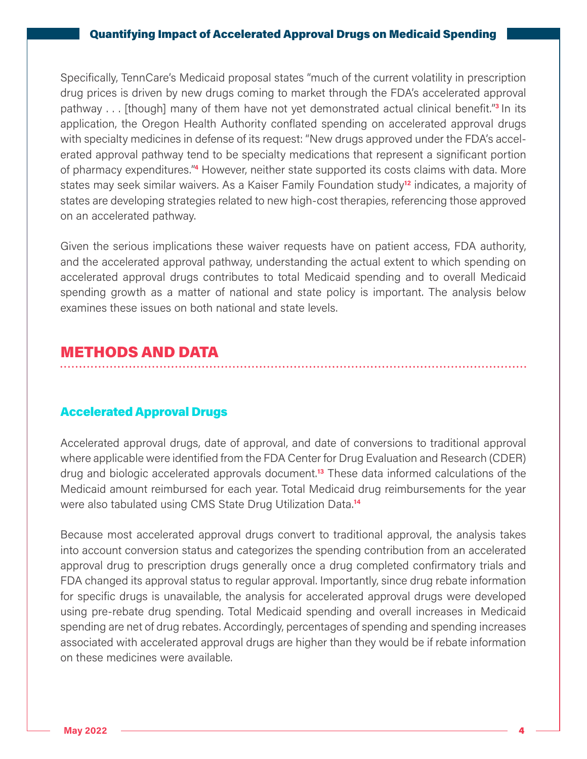Specifically, TennCare's Medicaid proposal states "much of the current volatility in prescription drug prices is driven by new drugs coming to market through the FDA's accelerated approval pathway . . . [though] many of them have not yet demonstrated actual clinical benefit."**3** In its application, the Oregon Health Authority conflated spending on accelerated approval drugs with specialty medicines in defense of its request: "New drugs approved under the FDA's accelerated approval pathway tend to be specialty medications that represent a significant portion of pharmacy expenditures."**4** However, neither state supported its costs claims with data. More states may seek similar waivers. As a Kaiser Family Foundation study**12** indicates, a majority of states are developing strategies related to new high-cost therapies, referencing those approved on an accelerated pathway.

Given the serious implications these waiver requests have on patient access, FDA authority, and the accelerated approval pathway, understanding the actual extent to which spending on accelerated approval drugs contributes to total Medicaid spending and to overall Medicaid spending growth as a matter of national and state policy is important. The analysis below examines these issues on both national and state levels.

## METHODS AND DATA

## Accelerated Approval Drugs

Accelerated approval drugs, date of approval, and date of conversions to traditional approval where applicable were identified from the FDA Center for Drug Evaluation and Research (CDER) drug and biologic accelerated approvals document.**13** These data informed calculations of the Medicaid amount reimbursed for each year. Total Medicaid drug reimbursements for the year were also tabulated using CMS State Drug Utilization Data.**<sup>14</sup>**

Because most accelerated approval drugs convert to traditional approval, the analysis takes into account conversion status and categorizes the spending contribution from an accelerated approval drug to prescription drugs generally once a drug completed confirmatory trials and FDA changed its approval status to regular approval. Importantly, since drug rebate information for specific drugs is unavailable, the analysis for accelerated approval drugs were developed using pre-rebate drug spending. Total Medicaid spending and overall increases in Medicaid spending are net of drug rebates. Accordingly, percentages of spending and spending increases associated with accelerated approval drugs are higher than they would be if rebate information on these medicines were available.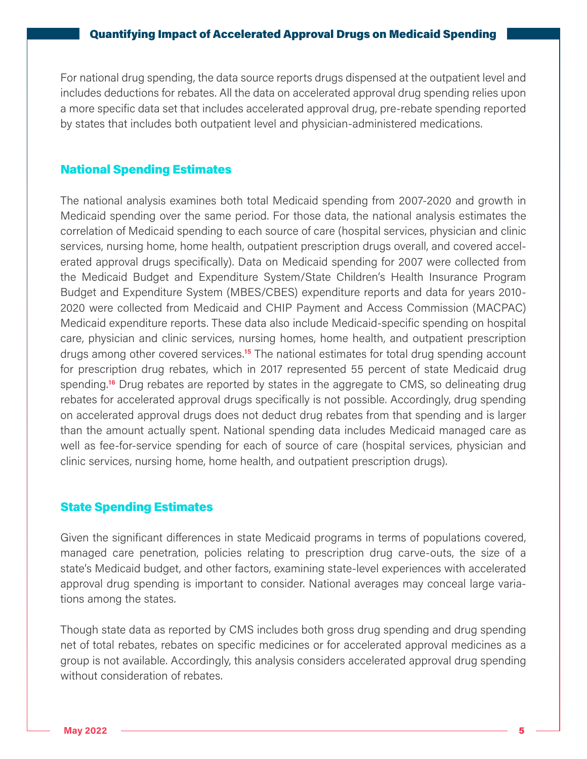For national drug spending, the data source reports drugs dispensed at the outpatient level and includes deductions for rebates. All the data on accelerated approval drug spending relies upon a more specific data set that includes accelerated approval drug, pre-rebate spending reported by states that includes both outpatient level and physician-administered medications.

## National Spending Estimates

The national analysis examines both total Medicaid spending from 2007-2020 and growth in Medicaid spending over the same period. For those data, the national analysis estimates the correlation of Medicaid spending to each source of care (hospital services, physician and clinic services, nursing home, home health, outpatient prescription drugs overall, and covered accelerated approval drugs specifically). Data on Medicaid spending for 2007 were collected from the Medicaid Budget and Expenditure System/State Children's Health Insurance Program Budget and Expenditure System (MBES/CBES) expenditure reports and data for years 2010- 2020 were collected from Medicaid and CHIP Payment and Access Commission (MACPAC) Medicaid expenditure reports. These data also include Medicaid-specific spending on hospital care, physician and clinic services, nursing homes, home health, and outpatient prescription drugs among other covered services.**15** The national estimates for total drug spending account for prescription drug rebates, which in 2017 represented 55 percent of state Medicaid drug spending.**16** Drug rebates are reported by states in the aggregate to CMS, so delineating drug rebates for accelerated approval drugs specifically is not possible. Accordingly, drug spending on accelerated approval drugs does not deduct drug rebates from that spending and is larger than the amount actually spent. National spending data includes Medicaid managed care as well as fee-for-service spending for each of source of care (hospital services, physician and clinic services, nursing home, home health, and outpatient prescription drugs).

## State Spending Estimates

Given the significant differences in state Medicaid programs in terms of populations covered, managed care penetration, policies relating to prescription drug carve-outs, the size of a state's Medicaid budget, and other factors, examining state-level experiences with accelerated approval drug spending is important to consider. National averages may conceal large variations among the states.

Though state data as reported by CMS includes both gross drug spending and drug spending net of total rebates, rebates on specific medicines or for accelerated approval medicines as a group is not available. Accordingly, this analysis considers accelerated approval drug spending without consideration of rebates.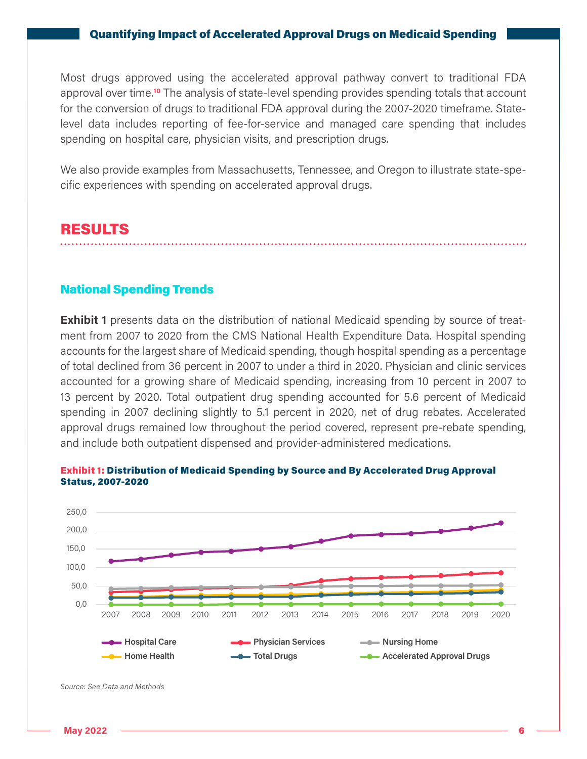Most drugs approved using the accelerated approval pathway convert to traditional FDA approval over time.**10** The analysis of state-level spending provides spending totals that account for the conversion of drugs to traditional FDA approval during the 2007-2020 timeframe. Statelevel data includes reporting of fee-for-service and managed care spending that includes spending on hospital care, physician visits, and prescription drugs.

We also provide examples from Massachusetts, Tennessee, and Oregon to illustrate state-specific experiences with spending on accelerated approval drugs.

## RESULTS

#### National Spending Trends

**Exhibit 1** presents data on the distribution of national Medicaid spending by source of treatment from 2007 to 2020 from the CMS National Health Expenditure Data. Hospital spending accounts for the largest share of Medicaid spending, though hospital spending as a percentage of total declined from 36 percent in 2007 to under a third in 2020. Physician and clinic services accounted for a growing share of Medicaid spending, increasing from 10 percent in 2007 to 13 percent by 2020. Total outpatient drug spending accounted for 5.6 percent of Medicaid spending in 2007 declining slightly to 5.1 percent in 2020, net of drug rebates. Accelerated approval drugs remained low throughout the period covered, represent pre-rebate spending, and include both outpatient dispensed and provider-administered medications.



Exhibit 1: Distribution of Medicaid Spending by Source and By Accelerated Drug Approval Status, 2007-2020

*Source: See Data and Methods*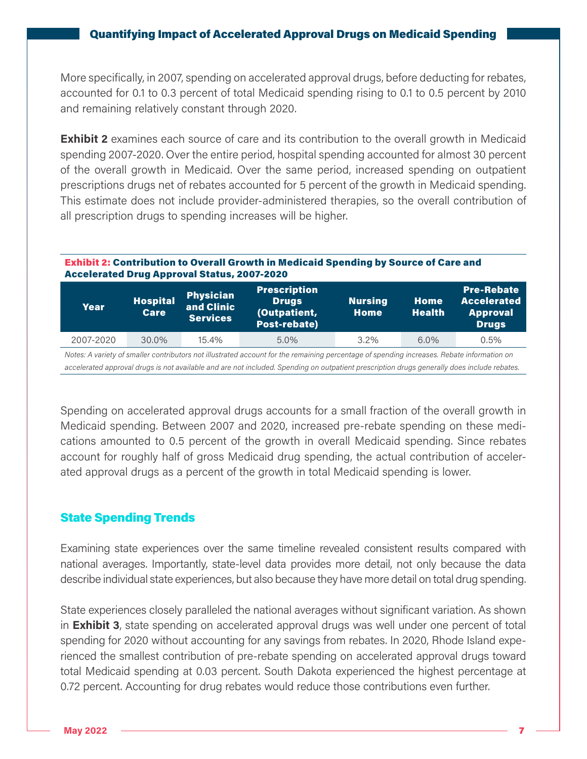More specifically, in 2007, spending on accelerated approval drugs, before deducting for rebates, accounted for 0.1 to 0.3 percent of total Medicaid spending rising to 0.1 to 0.5 percent by 2010 and remaining relatively constant through 2020.

**Exhibit 2** examines each source of care and its contribution to the overall growth in Medicaid spending 2007-2020. Over the entire period, hospital spending accounted for almost 30 percent of the overall growth in Medicaid. Over the same period, increased spending on outpatient prescriptions drugs net of rebates accounted for 5 percent of the growth in Medicaid spending. This estimate does not include provider-administered therapies, so the overall contribution of all prescription drugs to spending increases will be higher.

#### Exhibit 2: Contribution to Overall Growth in Medicaid Spending by Source of Care and Accelerated Drug Approval Status, 2007-2020

| Year      | <b>Hospital</b><br><b>Care</b> | <b>Physician</b><br>and Clinic<br><b>Services</b> | <b>Prescription</b><br><b>Drugs</b><br>(Outpatient,<br>Post-rebate) | <b>Nursing</b><br><b>Home</b> | <b>Home</b><br>Health <sup>1</sup> | <b>Pre-Rebate</b><br><b>Accelerated</b><br><b>Approval</b><br><b>Drugs</b> |
|-----------|--------------------------------|---------------------------------------------------|---------------------------------------------------------------------|-------------------------------|------------------------------------|----------------------------------------------------------------------------|
| 2007-2020 | 30.0%                          | 15.4%                                             | 5.0%                                                                | $3.2\%$                       | $6.0\%$                            | 0.5%                                                                       |

*Notes: A variety of smaller contributors not illustrated account for the remaining percentage of spending increases. Rebate information on accelerated approval drugs is not available and are not included. Spending on outpatient prescription drugs generally does include rebates.*

Spending on accelerated approval drugs accounts for a small fraction of the overall growth in Medicaid spending. Between 2007 and 2020, increased pre-rebate spending on these medications amounted to 0.5 percent of the growth in overall Medicaid spending. Since rebates account for roughly half of gross Medicaid drug spending, the actual contribution of accelerated approval drugs as a percent of the growth in total Medicaid spending is lower.

## State Spending Trends

Examining state experiences over the same timeline revealed consistent results compared with national averages. Importantly, state-level data provides more detail, not only because the data describe individual state experiences, but also because they have more detail on total drug spending.

State experiences closely paralleled the national averages without significant variation. As shown in **Exhibit 3**, state spending on accelerated approval drugs was well under one percent of total spending for 2020 without accounting for any savings from rebates. In 2020, Rhode Island experienced the smallest contribution of pre-rebate spending on accelerated approval drugs toward total Medicaid spending at 0.03 percent. South Dakota experienced the highest percentage at 0.72 percent. Accounting for drug rebates would reduce those contributions even further.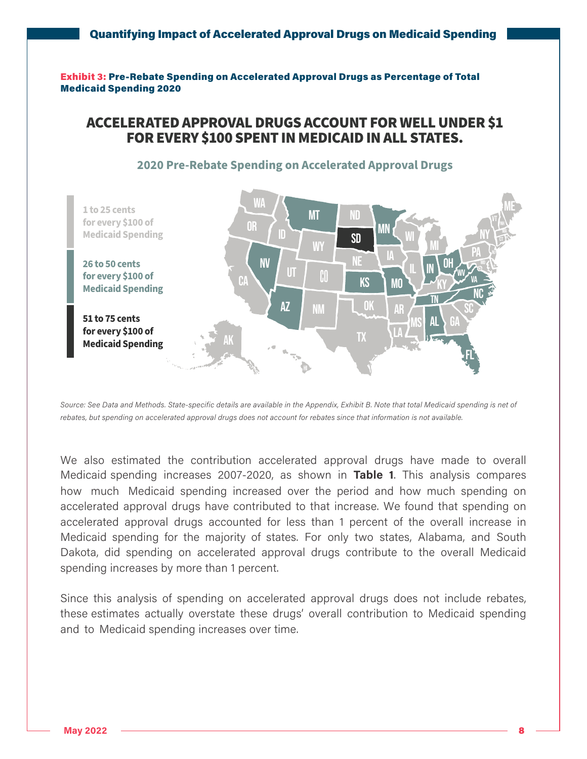Exhibit 3: Pre-Rebate Spending on Accelerated Approval Drugs as Percentage of Total Medicaid Spending 2020

## ACCELERATED APPROVAL DRUGS ACCOUNT FOR WELL UNDER \$1 FOR EVERY \$100 SPENT IN MEDICAID IN ALL STATES.



#### **2020 Pre-Rebate Spending on Accelerated Approval Drugs**

*Source: See Data and Methods. State-specific details are available in the Appendix, Exhibit B. Note that total Medicaid spending is net of rebates, but spending on accelerated approval drugs does not account for rebates since that information is not available.*

We also estimated the contribution accelerated approval drugs have made to overall Medicaid spending increases 2007-2020, as shown in **Table 1**. This analysis compares how much Medicaid spending increased over the period and how much spending on accelerated approval drugs have contributed to that increase. We found that spending on accelerated approval drugs accounted for less than 1 percent of the overall increase in Medicaid spending for the majority of states. For only two states, Alabama, and South Dakota, did spending on accelerated approval drugs contribute to the overall Medicaid spending increases by more than 1 percent.

Since this analysis of spending on accelerated approval drugs does not include rebates, these estimates actually overstate these drugs' overall contribution to Medicaid spending and to Medicaid spending increases over time.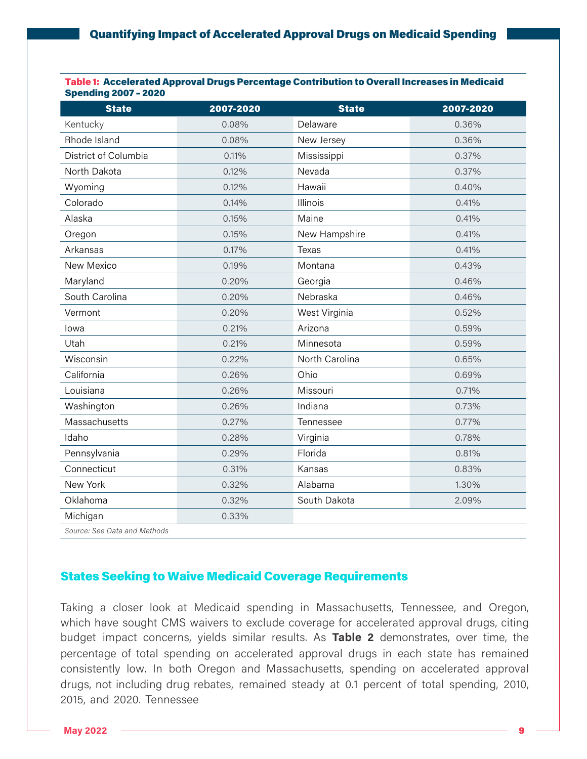#### Table 1: Accelerated Approval Drugs Percentage Contribution to Overall Increases in Medicaid Spending 2007 – 2020

| <b>State</b>                 | 2007-2020 | <b>State</b>   | 2007-2020 |
|------------------------------|-----------|----------------|-----------|
| Kentucky                     | 0.08%     | Delaware       | 0.36%     |
| Rhode Island                 | 0.08%     | New Jersey     | 0.36%     |
| District of Columbia         | 0.11%     | Mississippi    | 0.37%     |
| North Dakota                 | 0.12%     | Nevada         | 0.37%     |
| Wyoming                      | 0.12%     | Hawaii         | 0.40%     |
| Colorado                     | 0.14%     | Illinois       | 0.41%     |
| Alaska                       | 0.15%     | Maine          | 0.41%     |
| Oregon                       | 0.15%     | New Hampshire  | 0.41%     |
| Arkansas                     | 0.17%     | Texas          | 0.41%     |
| New Mexico                   | 0.19%     | Montana        | 0.43%     |
| Maryland                     | 0.20%     | Georgia        | 0.46%     |
| South Carolina               | 0.20%     | Nebraska       | 0.46%     |
| Vermont                      | 0.20%     | West Virginia  | 0.52%     |
| lowa                         | 0.21%     | Arizona        | 0.59%     |
| Utah                         | 0.21%     | Minnesota      | 0.59%     |
| Wisconsin                    | 0.22%     | North Carolina | 0.65%     |
| California                   | 0.26%     | Ohio           | 0.69%     |
| Louisiana                    | 0.26%     | Missouri       | 0.71%     |
| Washington                   | 0.26%     | Indiana        | 0.73%     |
| Massachusetts                | 0.27%     | Tennessee      | 0.77%     |
| Idaho                        | 0.28%     | Virginia       | 0.78%     |
| Pennsylvania                 | 0.29%     | Florida        | 0.81%     |
| Connecticut                  | 0.31%     | Kansas         | 0.83%     |
| New York                     | 0.32%     | Alabama        | 1.30%     |
| Oklahoma                     | 0.32%     | South Dakota   | 2.09%     |
| Michigan                     | 0.33%     |                |           |
| Source: See Data and Methods |           |                |           |

## States Seeking to Waive Medicaid Coverage Requirements

Taking a closer look at Medicaid spending in Massachusetts, Tennessee, and Oregon, which have sought CMS waivers to exclude coverage for accelerated approval drugs, citing budget impact concerns, yields similar results. As **Table 2** demonstrates, over time, the percentage of total spending on accelerated approval drugs in each state has remained consistently low. In both Oregon and Massachusetts, spending on accelerated approval drugs, not including drug rebates, remained steady at 0.1 percent of total spending, 2010, 2015, and 2020. Tennessee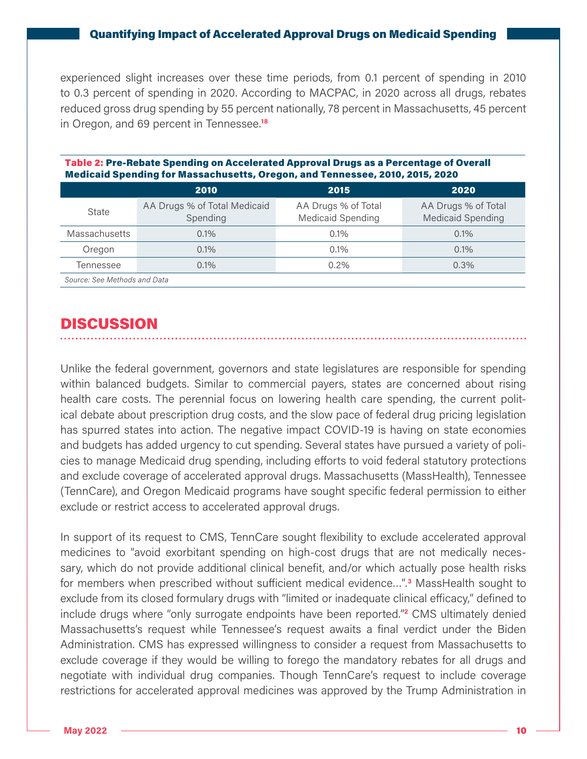experienced slight increases over these time periods, from 0.1 percent of spending in 2010 to 0.3 percent of spending in 2020. According to [MACPAC,](https://www.macpac.gov/wp-content/uploads/2021/12/MACStats-Medicaid-and-CHIP-Data-Book-December-2021.pdf) in 2020 across all drugs, rebates reduced gross drug spending by 55 percent nationally, 78 percent in Massachusetts, 45 percent in Oregon, and 69 percent in Tennessee.**<sup>18</sup>**

|                              | <u>Medicald Spending for Massachusetts, Oregon, and Tennessee, Zulu, Zuls, Zuzu</u> |                                                 |                                                 |  |  |  |  |
|------------------------------|-------------------------------------------------------------------------------------|-------------------------------------------------|-------------------------------------------------|--|--|--|--|
|                              | 2010                                                                                | 2015                                            | 2020                                            |  |  |  |  |
| State                        | AA Drugs % of Total Medicaid<br>Spending                                            | AA Drugs % of Total<br><b>Medicaid Spending</b> | AA Drugs % of Total<br><b>Medicaid Spending</b> |  |  |  |  |
| <b>Massachusetts</b>         | 0.1%                                                                                | 0.1%                                            | 0.1%                                            |  |  |  |  |
| Oregon                       | 0.1%                                                                                | 0.1%                                            | 0.1%                                            |  |  |  |  |
| Tennessee                    | 0.1%                                                                                | 0.2%                                            | 0.3%                                            |  |  |  |  |
| Source: See Methods and Data |                                                                                     |                                                 |                                                 |  |  |  |  |

#### Table 2: Pre-Rebate Spending on Accelerated Approval Drugs as a Percentage of Overall Medicaid Spending for Massachusetts, Oregon, and Tennessee, 2010, 2015, 2020

## DISCUSSION

Unlike the federal government, governors and state legislatures are responsible for spending within balanced budgets. Similar to commercial payers, states are concerned about rising health care costs. The perennial focus on lowering health care spending, the current political debate about prescription drug costs, and the slow pace of federal drug pricing legislation has spurred states into action. The negative impact COVID-19 is having on state economies and budgets has added urgency to cut spending. Several states have pursued a variety of policies to manage Medicaid drug spending, including efforts to void federal statutory protections and exclude coverage of accelerated approval drugs. Massachusetts (MassHealth), Tennessee (TennCare), and Oregon Medicaid programs have sought specific federal permission to either exclude or restrict access to accelerated approval drugs.

In support of its request to CMS, TennCare sought flexibility to exclude accelerated approval medicines to "avoid exorbitant spending on high-cost drugs that are not medically necessary, which do not provide additional clinical benefit, and/or which actually pose health risks for members when prescribed without sufficient medical evidence…".**<sup>3</sup>** MassHealth sought to exclude from its closed formulary drugs with "limited or inadequate clinical efficacy," defined to include drugs where "only surrogate endpoints have been reported."**<sup>2</sup>** CMS ultimately denied Massachusetts's request while Tennessee's request awaits a final verdict under the Biden Administration. CMS has expressed willingness to consider a request from Massachusetts to exclude coverage if they would be willing to forego the mandatory rebates for all drugs and negotiate with individual drug companies. Though TennCare's request to include coverage restrictions for accelerated approval medicines was approved by the Trump Administration in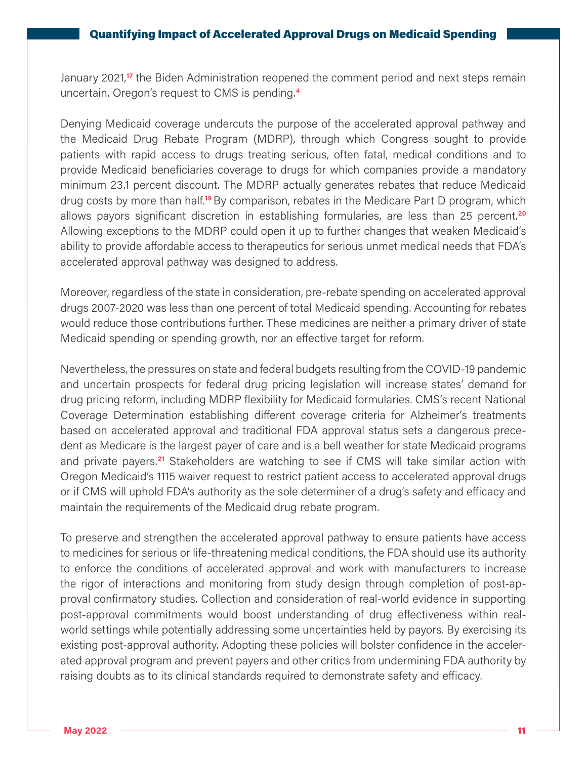January 2021,**17** the Biden Administration reopened the comment period and next steps remain uncertain. Oregon's request to CMS is pending.**<sup>4</sup>**

Denying Medicaid coverage undercuts the purpose of the accelerated approval pathway and the Medicaid Drug Rebate Program (MDRP), through which Congress sought to provide patients with rapid access to drugs treating serious, often fatal, medical conditions and to provide Medicaid beneficiaries coverage to drugs for which companies provide a mandatory minimum 23.1 percent discount. The MDRP actually generates rebates that reduce Medicaid drug costs by more than half.**19** By comparison, rebates in the Medicare Part D program, which allows payors significant discretion in establishing formularies, are less than 25 percent.**<sup>20</sup>** Allowing exceptions to the MDRP could open it up to further changes that weaken Medicaid's ability to provide affordable access to therapeutics for serious unmet medical needs that FDA's accelerated approval pathway was designed to address.

Moreover, regardless of the state in consideration, pre-rebate spending on accelerated approval drugs 2007-2020 was less than one percent of total Medicaid spending. Accounting for rebates would reduce those contributions further. These medicines are neither a primary driver of state Medicaid spending or spending growth, nor an effective target for reform.

Nevertheless, the pressures on state and federal budgets resulting from the COVID-19 pandemic and uncertain prospects for federal drug pricing legislation will increase states' demand for drug pricing reform, including MDRP flexibility for Medicaid formularies. CMS's recent National Coverage Determination establishing different coverage criteria for Alzheimer's treatments based on accelerated approval and traditional FDA approval status sets a dangerous precedent as Medicare is the largest payer of care and is a bell weather for state Medicaid programs and private payers.**21** Stakeholders are watching to see if CMS will take similar action with Oregon Medicaid's 1115 waiver request to restrict patient access to accelerated approval drugs or if CMS will uphold FDA's authority as the sole determiner of a drug's safety and efficacy and maintain the requirements of the Medicaid drug rebate program.

To preserve and strengthen the accelerated approval pathway to ensure patients have access to medicines for serious or life-threatening medical conditions, the FDA should use its authority to enforce the conditions of accelerated approval and work with manufacturers to increase the rigor of interactions and monitoring from study design through completion of post-approval confirmatory studies. Collection and consideration of real-world evidence in supporting post-approval commitments would boost understanding of drug effectiveness within realworld settings while potentially addressing some uncertainties held by payors. By exercising its existing post-approval authority. Adopting these policies will bolster confidence in the accelerated approval program and prevent payers and other critics from undermining FDA authority by raising doubts as to its clinical standards required to demonstrate safety and efficacy.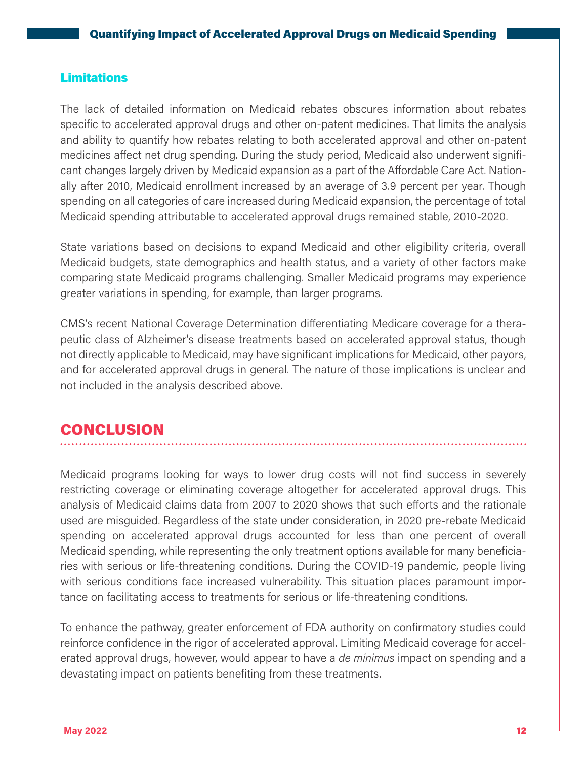### **Limitations**

The lack of detailed information on Medicaid rebates obscures information about rebates specific to accelerated approval drugs and other on-patent medicines. That limits the analysis and ability to quantify how rebates relating to both accelerated approval and other on-patent medicines affect net drug spending. During the study period, Medicaid also underwent significant changes largely driven by Medicaid expansion as a part of the Affordable Care Act. Nationally after 2010, Medicaid enrollment increased by an average of 3.9 percent per year. Though spending on all categories of care increased during Medicaid expansion, the percentage of total Medicaid spending attributable to accelerated approval drugs remained stable, 2010-2020.

State variations based on decisions to expand Medicaid and other eligibility criteria, overall Medicaid budgets, state demographics and health status, and a variety of other factors make comparing state Medicaid programs challenging. Smaller Medicaid programs may experience greater variations in spending, for example, than larger programs.

CMS's recent National Coverage Determination differentiating Medicare coverage for a therapeutic class of Alzheimer's disease treatments based on accelerated approval status, though not directly applicable to Medicaid, may have significant implications for Medicaid, other payors, and for accelerated approval drugs in general. The nature of those implications is unclear and not included in the analysis described above.

## **CONCLUSION**

Medicaid programs looking for ways to lower drug costs will not find success in severely restricting coverage or eliminating coverage altogether for accelerated approval drugs. This analysis of Medicaid claims data from 2007 to 2020 shows that such efforts and the rationale used are misguided. Regardless of the state under consideration, in 2020 pre-rebate Medicaid spending on accelerated approval drugs accounted for less than one percent of overall Medicaid spending, while representing the only treatment options available for many beneficiaries with serious or life-threatening conditions. During the COVID-19 pandemic, people living with serious conditions face increased vulnerability. This situation places paramount importance on facilitating access to treatments for serious or life-threatening conditions.

To enhance the pathway, greater enforcement of FDA authority on confirmatory studies could reinforce confidence in the rigor of accelerated approval. Limiting Medicaid coverage for accelerated approval drugs, however, would appear to have a *de minimus* impact on spending and a devastating impact on patients benefiting from these treatments.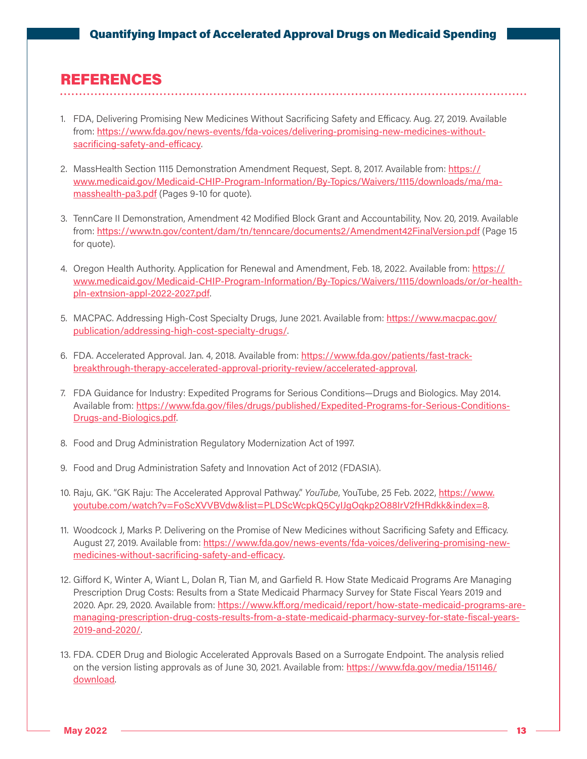## REFERENCES

- 1. FDA, Delivering Promising New Medicines Without Sacrificing Safety and Efficacy. Aug. 27, 2019. Available from: [https://www.fda.gov/news-events/fda-voices/delivering-promising-new-medicines-without](https://www.fda.gov/news-events/fda-voices/delivering-promising-new-medicines-without-sacrificing-safety-and-efficacy)[sacrificing-safety-and-efficacy](https://www.fda.gov/news-events/fda-voices/delivering-promising-new-medicines-without-sacrificing-safety-and-efficacy).
- 2. MassHealth Section 1115 Demonstration Amendment Request, Sept. 8, 2017. Available from: [https://](https://www.medicaid.gov/Medicaid-CHIP-Program-Information/By-Topics/Waivers/1115/downloads/ma/ma-masshealth-pa3.pdf) [www.medicaid.gov/Medicaid-CHIP-Program-Information/By-Topics/Waivers/1115/downloads/ma/ma](https://www.medicaid.gov/Medicaid-CHIP-Program-Information/By-Topics/Waivers/1115/downloads/ma/ma-masshealth-pa3.pdf)[masshealth-pa3.pdf](https://www.medicaid.gov/Medicaid-CHIP-Program-Information/By-Topics/Waivers/1115/downloads/ma/ma-masshealth-pa3.pdf) (Pages 9-10 for quote).
- 3. TennCare II Demonstration, Amendment 42 Modified Block Grant and Accountability, Nov. 20, 2019. Available from: <https://www.tn.gov/content/dam/tn/tenncare/documents2/Amendment42FinalVersion.pdf> (Page 15 for quote).
- 4. Oregon Health Authority. Application for Renewal and Amendment, Feb. 18, 2022. Available from: [https://](https://www.medicaid.gov/Medicaid-CHIP-Program-Information/By-Topics/Waivers/1115/downloads/or/or-health-pln-extnsion-appl-2022-2027.pdf) [www.medicaid.gov/Medicaid-CHIP-Program-Information/By-Topics/Waivers/1115/downloads/or/or-health](https://www.medicaid.gov/Medicaid-CHIP-Program-Information/By-Topics/Waivers/1115/downloads/or/or-health-pln-extnsion-appl-2022-2027.pdf)[pln-extnsion-appl-2022-2027.pdf](https://www.medicaid.gov/Medicaid-CHIP-Program-Information/By-Topics/Waivers/1115/downloads/or/or-health-pln-extnsion-appl-2022-2027.pdf).
- 5. MACPAC. Addressing High-Cost Specialty Drugs, June 2021. Available from: [https://www.macpac.gov/](https://www.macpac.gov/publication/addressing-high-cost-specialty-drugs/) [publication/addressing-high-cost-specialty-drugs/](https://www.macpac.gov/publication/addressing-high-cost-specialty-drugs/).
- 6. FDA. Accelerated Approval. Jan. 4, 2018. Available from: [https://www.fda.gov/patients/fast-track](https://www.fda.gov/patients/fast-track-breakthrough-therapy-accelerated-approval-priority-review/accelerated-approval)[breakthrough-therapy-accelerated-approval-priority-review/accelerated-approval](https://www.fda.gov/patients/fast-track-breakthrough-therapy-accelerated-approval-priority-review/accelerated-approval).
- 7. FDA Guidance for Industry: Expedited Programs for Serious Conditions—Drugs and Biologics. May 2014. Available from: [https://www.fda.gov/files/drugs/published/Expedited-Programs-for-Serious-Conditions-](https://www.fda.gov/files/drugs/published/Expedited-Programs-for-Serious-Conditions-Drugs-and-Biologics.pdf)[Drugs-and-Biologics.pdf](https://www.fda.gov/files/drugs/published/Expedited-Programs-for-Serious-Conditions-Drugs-and-Biologics.pdf).
- 8. Food and Drug Administration Regulatory Modernization Act of 1997.
- 9. Food and Drug Administration Safety and Innovation Act of 2012 (FDASIA).
- 10. Raju, GK. "GK Raju: The Accelerated Approval Pathway." *YouTube*, YouTube, 25 Feb. 2022, [https://www.](https://www.youtube.com/watch?v=FoScXVVBVdw&list=PLDScWcpkQ5CyIJgOqkp2O88IrV2fHRdkk&index=8) [youtube.com/watch?v=FoScXVVBVdw&list=PLDScWcpkQ5CyIJgOqkp2O88IrV2fHRdkk&index=8](https://www.youtube.com/watch?v=FoScXVVBVdw&list=PLDScWcpkQ5CyIJgOqkp2O88IrV2fHRdkk&index=8).
- 11. Woodcock J, Marks P. Delivering on the Promise of New Medicines without Sacrificing Safety and Efficacy. August 27, 2019. Available from: [https://www.fda.gov/news-events/fda-voices/delivering-promising-new](https://www.fda.gov/news-events/fda-voices/delivering-promising-new-medicines-without-sacrificing-safety-and-efficacy)[medicines-without-sacrificing-safety-and-efficacy](https://www.fda.gov/news-events/fda-voices/delivering-promising-new-medicines-without-sacrificing-safety-and-efficacy).
- 12. Gifford K, Winter A, Wiant L, Dolan R, Tian M, and Garfield R. How State Medicaid Programs Are Managing Prescription Drug Costs: Results from a State Medicaid Pharmacy Survey for State Fiscal Years 2019 and 2020. Apr. 29, 2020. Available from: [https://www.kff.org/medicaid/report/how-state-medicaid-programs-are](https://www.kff.org/medicaid/report/how-state-medicaid-programs-are-managing-prescription-drug-costs-results-from-a-state-medicaid-pharmacy-survey-for-state-fiscal-years-2019-and-2020/)[managing-prescription-drug-costs-results-from-a-state-medicaid-pharmacy-survey-for-state-fiscal-years-](https://www.kff.org/medicaid/report/how-state-medicaid-programs-are-managing-prescription-drug-costs-results-from-a-state-medicaid-pharmacy-survey-for-state-fiscal-years-2019-and-2020/)[2019-and-2020/](https://www.kff.org/medicaid/report/how-state-medicaid-programs-are-managing-prescription-drug-costs-results-from-a-state-medicaid-pharmacy-survey-for-state-fiscal-years-2019-and-2020/).
- 13. FDA. CDER Drug and Biologic Accelerated Approvals Based on a Surrogate Endpoint. The analysis relied on the version listing approvals as of June 30, 2021. Available from: [https://www.fda.gov/media/151146/](https://www.fda.gov/media/151146/download) [download](https://www.fda.gov/media/151146/download).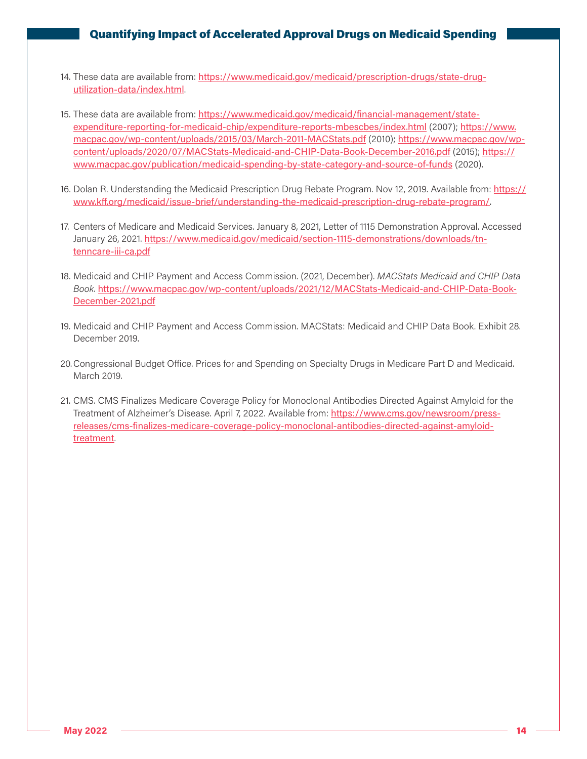- 14. These data are available from: [https://www.medicaid.gov/medicaid/prescription-drugs/state-drug](https://www.medicaid.gov/medicaid/prescription-drugs/state-drug-utilization-data/index.html)[utilization-data/index.html](https://www.medicaid.gov/medicaid/prescription-drugs/state-drug-utilization-data/index.html).
- 15. These data are available from: [https://www.medicaid.gov/medicaid/financial-management/state](https://www.medicaid.gov/medicaid/financial-management/state-expenditure-reporting-for-medicaid-chip/expenditure-reports-mbescbes/index.html)[expenditure-reporting-for-medicaid-chip/expenditure-reports-mbescbes/index.html](https://www.medicaid.gov/medicaid/financial-management/state-expenditure-reporting-for-medicaid-chip/expenditure-reports-mbescbes/index.html) (2007); [https://www.](https://www.macpac.gov/wp-content/uploads/2015/03/March-2011-MACStats.pdf) [macpac.gov/wp-content/uploads/2015/03/March-2011-MACStats.pdf](https://www.macpac.gov/wp-content/uploads/2015/03/March-2011-MACStats.pdf) (2010); [https://www.macpac.gov/wp](https://www.macpac.gov/wp-content/uploads/2020/07/MACStats-Medicaid-and-CHIP-Data-Book-December-2016.pdf)[content/uploads/2020/07/MACStats-Medicaid-and-CHIP-Data-Book-December-2016.pdf](https://www.macpac.gov/wp-content/uploads/2020/07/MACStats-Medicaid-and-CHIP-Data-Book-December-2016.pdf) (2015); [https://](https://www.macpac.gov/publication/medicaid-spending-by-state-category-and-source-of-funds) [www.macpac.gov/publication/medicaid-spending-by-state-category-and-source-of-funds](https://www.macpac.gov/publication/medicaid-spending-by-state-category-and-source-of-funds) (2020).
- 16. Dolan R. Understanding the Medicaid Prescription Drug Rebate Program. Nov 12, 2019. Available from: [https://](https://www.kff.org/medicaid/issue-brief/understanding-the-medicaid-prescription-drug-rebate-program/) [www.kff.org/medicaid/issue-brief/understanding-the-medicaid-prescription-drug-rebate-program/](https://www.kff.org/medicaid/issue-brief/understanding-the-medicaid-prescription-drug-rebate-program/).
- 17. Centers of Medicare and Medicaid Services. January 8, 2021, Letter of 1115 Demonstration Approval. Accessed January 26, 2021. [https://www.medicaid.gov/medicaid/section-1115-demonstrations/downloads/tn](https://www.medicaid.gov/medicaid/section-1115-demonstrations/downloads/tn-tenncare-iii-ca.pdf)[tenncare-iii-ca.pdf](https://www.medicaid.gov/medicaid/section-1115-demonstrations/downloads/tn-tenncare-iii-ca.pdf)
- 18. Medicaid and CHIP Payment and Access Commission. (2021, December). *MACStats Medicaid and CHIP Data Book*. [https://www.macpac.gov/wp-content/uploads/2021/12/MACStats-Medicaid-and-CHIP-Data-Book-](https://www.macpac.gov/wp-content/uploads/2021/12/MACStats-Medicaid-and-CHIP-Data-Book-December-2021.pdf)[December-2021.pdf](https://www.macpac.gov/wp-content/uploads/2021/12/MACStats-Medicaid-and-CHIP-Data-Book-December-2021.pdf)
- 19. Medicaid and CHIP Payment and Access Commission. MACStats: Medicaid and CHIP Data Book. Exhibit 28. December 2019.
- 20.Congressional Budget Office. Prices for and Spending on Specialty Drugs in Medicare Part D and Medicaid. March 2019.
- 21. CMS. CMS Finalizes Medicare Coverage Policy for Monoclonal Antibodies Directed Against Amyloid for the Treatment of Alzheimer's Disease. April 7, 2022. Available from: [https://www.cms.gov/newsroom/press](https://www.cms.gov/newsroom/press-releases/cms-finalizes-medicare-coverage-policy-monoclonal-antibodies-directed-against-amyloid-treatment)[releases/cms-finalizes-medicare-coverage-policy-monoclonal-antibodies-directed-against-amyloid](https://www.cms.gov/newsroom/press-releases/cms-finalizes-medicare-coverage-policy-monoclonal-antibodies-directed-against-amyloid-treatment)[treatment](https://www.cms.gov/newsroom/press-releases/cms-finalizes-medicare-coverage-policy-monoclonal-antibodies-directed-against-amyloid-treatment).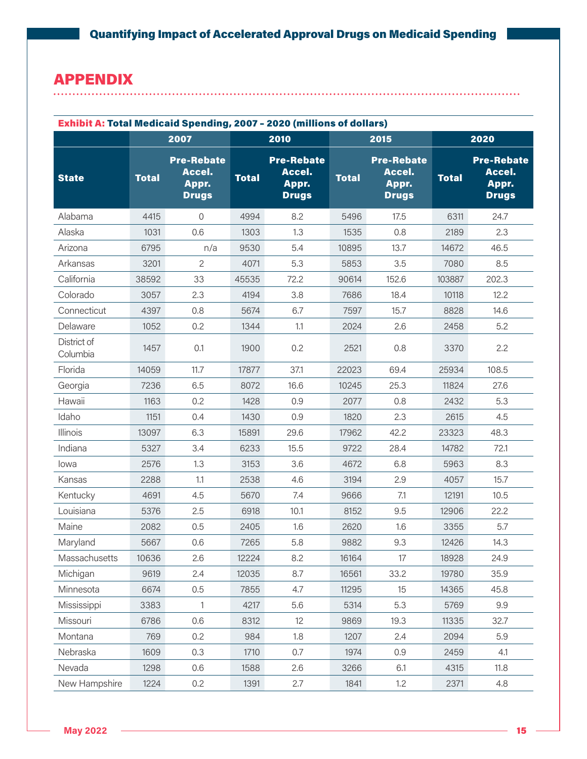### APPENDIX aaa

| <b>Exhibit A: Total Medicaid Spending, 2007 - 2020 (millions of dollars)</b> |              |                                                      |              |                                                      |              |                                                      |              |                                                      |
|------------------------------------------------------------------------------|--------------|------------------------------------------------------|--------------|------------------------------------------------------|--------------|------------------------------------------------------|--------------|------------------------------------------------------|
|                                                                              |              | 2007                                                 |              | 2010                                                 |              | 2015                                                 |              | 2020                                                 |
| <b>State</b>                                                                 | <b>Total</b> | <b>Pre-Rebate</b><br>Accel.<br>Appr.<br><b>Drugs</b> | <b>Total</b> | <b>Pre-Rebate</b><br>Accel.<br>Appr.<br><b>Drugs</b> | <b>Total</b> | <b>Pre-Rebate</b><br>Accel.<br>Appr.<br><b>Drugs</b> | <b>Total</b> | <b>Pre-Rebate</b><br>Accel.<br>Appr.<br><b>Drugs</b> |
| Alabama                                                                      | 4415         | $\Omega$                                             | 4994         | 8.2                                                  | 5496         | 17.5                                                 | 6311         | 24.7                                                 |
| Alaska                                                                       | 1031         | 0.6                                                  | 1303         | 1.3                                                  | 1535         | 0.8                                                  | 2189         | 2.3                                                  |
| Arizona                                                                      | 6795         | n/a                                                  | 9530         | 5.4                                                  | 10895        | 13.7                                                 | 14672        | 46.5                                                 |
| Arkansas                                                                     | 3201         | $\overline{2}$                                       | 4071         | 5.3                                                  | 5853         | 3.5                                                  | 7080         | 8.5                                                  |
| California                                                                   | 38592        | 33                                                   | 45535        | 72.2                                                 | 90614        | 152.6                                                | 103887       | 202.3                                                |
| Colorado                                                                     | 3057         | 2.3                                                  | 4194         | 3.8                                                  | 7686         | 18.4                                                 | 10118        | 12.2                                                 |
| Connecticut                                                                  | 4397         | 0.8                                                  | 5674         | 6.7                                                  | 7597         | 15.7                                                 | 8828         | 14.6                                                 |
| Delaware                                                                     | 1052         | 0.2                                                  | 1344         | 1.1                                                  | 2024         | 2.6                                                  | 2458         | 5.2                                                  |
| District of<br>Columbia                                                      | 1457         | 0.1                                                  | 1900         | 0.2                                                  | 2521         | 0.8                                                  | 3370         | 2.2                                                  |
| Florida                                                                      | 14059        | 11.7                                                 | 17877        | 37.1                                                 | 22023        | 69.4                                                 | 25934        | 108.5                                                |
| Georgia                                                                      | 7236         | 6.5                                                  | 8072         | 16.6                                                 | 10245        | 25.3                                                 | 11824        | 27.6                                                 |
| Hawaii                                                                       | 1163         | 0.2                                                  | 1428         | 0.9                                                  | 2077         | 0.8                                                  | 2432         | 5.3                                                  |
| Idaho                                                                        | 1151         | 0.4                                                  | 1430         | 0.9                                                  | 1820         | 2.3                                                  | 2615         | 4.5                                                  |
| Illinois                                                                     | 13097        | 6.3                                                  | 15891        | 29.6                                                 | 17962        | 42.2                                                 | 23323        | 48.3                                                 |
| Indiana                                                                      | 5327         | 3.4                                                  | 6233         | 15.5                                                 | 9722         | 28.4                                                 | 14782        | 72.1                                                 |
| lowa                                                                         | 2576         | 1.3                                                  | 3153         | 3.6                                                  | 4672         | 6.8                                                  | 5963         | 8.3                                                  |
| Kansas                                                                       | 2288         | 1.1                                                  | 2538         | 4.6                                                  | 3194         | 2.9                                                  | 4057         | 15.7                                                 |
| Kentucky                                                                     | 4691         | 4.5                                                  | 5670         | 7.4                                                  | 9666         | 7.1                                                  | 12191        | 10.5                                                 |
| Louisiana                                                                    | 5376         | 2.5                                                  | 6918         | 10.1                                                 | 8152         | 9.5                                                  | 12906        | 22.2                                                 |
| Maine                                                                        | 2082         | 0.5                                                  | 2405         | 1.6                                                  | 2620         | 1.6                                                  | 3355         | 5.7                                                  |
| Maryland                                                                     | 5667         | 0.6                                                  | 7265         | 5.8                                                  | 9882         | 9.3                                                  | 12426        | 14.3                                                 |
| Massachusetts                                                                | 10636        | 2.6                                                  | 12224        | 8.2                                                  | 16164        | 17                                                   | 18928        | 24.9                                                 |
| Michigan                                                                     | 9619         | 2.4                                                  | 12035        | 8.7                                                  | 16561        | 33.2                                                 | 19780        | 35.9                                                 |
| Minnesota                                                                    | 6674         | 0.5                                                  | 7855         | 4.7                                                  | 11295        | 15                                                   | 14365        | 45.8                                                 |
| Mississippi                                                                  | 3383         | $\mathbf{1}$                                         | 4217         | 5.6                                                  | 5314         | 5.3                                                  | 5769         | 9.9                                                  |
| Missouri                                                                     | 6786         | 0.6                                                  | 8312         | 12                                                   | 9869         | 19.3                                                 | 11335        | 32.7                                                 |
| Montana                                                                      | 769          | 0.2                                                  | 984          | 1.8                                                  | 1207         | 2.4                                                  | 2094         | 5.9                                                  |
| Nebraska                                                                     | 1609         | 0.3                                                  | 1710         | 0.7                                                  | 1974         | 0.9                                                  | 2459         | 4.1                                                  |
| Nevada                                                                       | 1298         | 0.6                                                  | 1588         | 2.6                                                  | 3266         | 6.1                                                  | 4315         | 11.8                                                 |
| New Hampshire                                                                | 1224         | 0.2                                                  | 1391         | 2.7                                                  | 1841         | 1.2                                                  | 2371         | 4.8                                                  |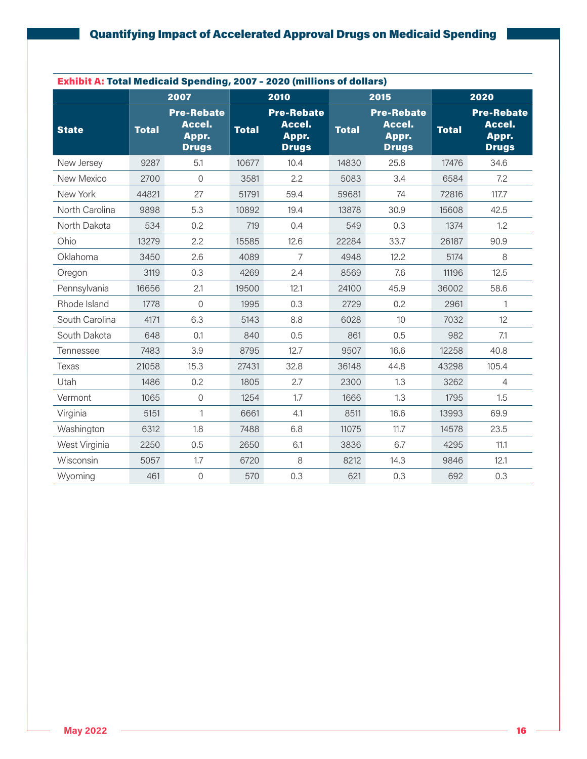| <b>Exhibit A: Total Medicaid Spending, 2007 - 2020 (millions of dollars)</b> |              |                                                      |              |                                                      |              |                                                      |              |                                                      |
|------------------------------------------------------------------------------|--------------|------------------------------------------------------|--------------|------------------------------------------------------|--------------|------------------------------------------------------|--------------|------------------------------------------------------|
|                                                                              |              | 2007                                                 |              | 2010                                                 |              | 2015                                                 |              | 2020                                                 |
| <b>State</b>                                                                 | <b>Total</b> | <b>Pre-Rebate</b><br>Accel.<br>Appr.<br><b>Drugs</b> | <b>Total</b> | <b>Pre-Rebate</b><br>Accel.<br>Appr.<br><b>Drugs</b> | <b>Total</b> | <b>Pre-Rebate</b><br>Accel.<br>Appr.<br><b>Drugs</b> | <b>Total</b> | <b>Pre-Rebate</b><br>Accel.<br>Appr.<br><b>Drugs</b> |
| New Jersey                                                                   | 9287         | 5.1                                                  | 10677        | 10.4                                                 | 14830        | 25.8                                                 | 17476        | 34.6                                                 |
| New Mexico                                                                   | 2700         | $\overline{0}$                                       | 3581         | 2.2                                                  | 5083         | 3.4                                                  | 6584         | 7.2                                                  |
| New York                                                                     | 44821        | 27                                                   | 51791        | 59.4                                                 | 59681        | 74                                                   | 72816        | 117.7                                                |
| North Carolina                                                               | 9898         | 5.3                                                  | 10892        | 19.4                                                 | 13878        | 30.9                                                 | 15608        | 42.5                                                 |
| North Dakota                                                                 | 534          | 0.2                                                  | 719          | 0.4                                                  | 549          | 0.3                                                  | 1374         | 1.2                                                  |
| Ohio                                                                         | 13279        | 2.2                                                  | 15585        | 12.6                                                 | 22284        | 33.7                                                 | 26187        | 90.9                                                 |
| Oklahoma                                                                     | 3450         | 2.6                                                  | 4089         | $\overline{7}$                                       | 4948         | 12.2                                                 | 5174         | 8                                                    |
| Oregon                                                                       | 3119         | 0.3                                                  | 4269         | 2.4                                                  | 8569         | 7.6                                                  | 11196        | 12.5                                                 |
| Pennsylvania                                                                 | 16656        | 2.1                                                  | 19500        | 12.1                                                 | 24100        | 45.9                                                 | 36002        | 58.6                                                 |
| Rhode Island                                                                 | 1778         | $\mathbf 0$                                          | 1995         | 0.3                                                  | 2729         | 0.2                                                  | 2961         | 1                                                    |
| South Carolina                                                               | 4171         | 6.3                                                  | 5143         | 8.8                                                  | 6028         | 10                                                   | 7032         | 12                                                   |
| South Dakota                                                                 | 648          | 0.1                                                  | 840          | 0.5                                                  | 861          | 0.5                                                  | 982          | 7.1                                                  |
| Tennessee                                                                    | 7483         | 3.9                                                  | 8795         | 12.7                                                 | 9507         | 16.6                                                 | 12258        | 40.8                                                 |
| <b>Texas</b>                                                                 | 21058        | 15.3                                                 | 27431        | 32.8                                                 | 36148        | 44.8                                                 | 43298        | 105.4                                                |
| Utah                                                                         | 1486         | 0.2                                                  | 1805         | 2.7                                                  | 2300         | 1.3                                                  | 3262         | $\overline{4}$                                       |
| Vermont                                                                      | 1065         | $\mathbf 0$                                          | 1254         | 1.7                                                  | 1666         | 1.3                                                  | 1795         | 1.5                                                  |
| Virginia                                                                     | 5151         | $\mathbf{1}$                                         | 6661         | 4.1                                                  | 8511         | 16.6                                                 | 13993        | 69.9                                                 |
| Washington                                                                   | 6312         | 1.8                                                  | 7488         | 6.8                                                  | 11075        | 11.7                                                 | 14578        | 23.5                                                 |
| West Virginia                                                                | 2250         | 0.5                                                  | 2650         | 6.1                                                  | 3836         | 6.7                                                  | 4295         | 11.1                                                 |
| Wisconsin                                                                    | 5057         | 1.7                                                  | 6720         | 8                                                    | 8212         | 14.3                                                 | 9846         | 12.1                                                 |
| Wyoming                                                                      | 461          | $\mathbf 0$                                          | 570          | 0.3                                                  | 621          | 0.3                                                  | 692          | 0.3                                                  |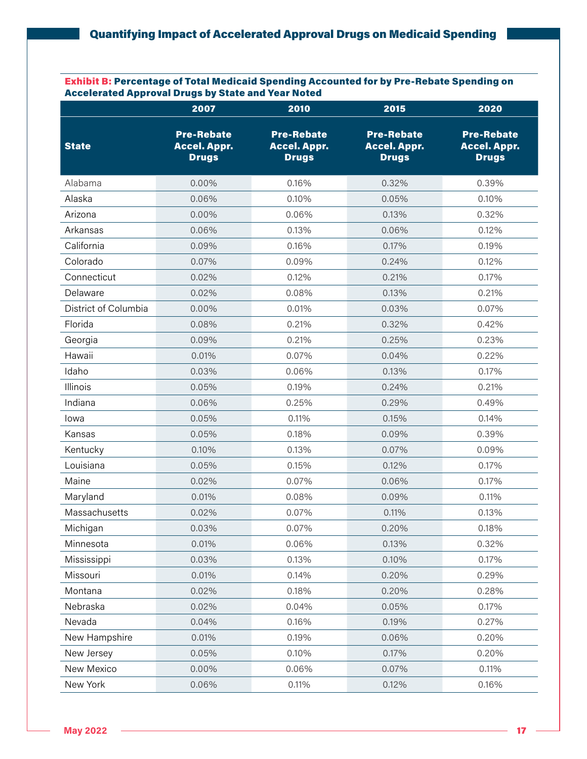Exhibit B: Percentage of Total Medicaid Spending Accounted for by Pre-Rebate Spending on Accelerated Approval Drugs by State and Year Noted

|                      | 2007                                                     | 2010                                                     | 2015                                                     | 2020                                                     |
|----------------------|----------------------------------------------------------|----------------------------------------------------------|----------------------------------------------------------|----------------------------------------------------------|
| <b>State</b>         | <b>Pre-Rebate</b><br><b>Accel. Appr.</b><br><b>Drugs</b> | <b>Pre-Rebate</b><br><b>Accel. Appr.</b><br><b>Drugs</b> | <b>Pre-Rebate</b><br><b>Accel. Appr.</b><br><b>Drugs</b> | <b>Pre-Rebate</b><br><b>Accel. Appr.</b><br><b>Drugs</b> |
| Alabama              | 0.00%                                                    | 0.16%                                                    | 0.32%                                                    | 0.39%                                                    |
| Alaska               | 0.06%                                                    | 0.10%                                                    | 0.05%                                                    | 0.10%                                                    |
| Arizona              | 0.00%                                                    | 0.06%                                                    | 0.13%                                                    | 0.32%                                                    |
| Arkansas             | 0.06%                                                    | 0.13%                                                    | 0.06%                                                    | 0.12%                                                    |
| California           | 0.09%                                                    | 0.16%                                                    | 0.17%                                                    | 0.19%                                                    |
| Colorado             | 0.07%                                                    | 0.09%                                                    | 0.24%                                                    | 0.12%                                                    |
| Connecticut          | 0.02%                                                    | 0.12%                                                    | 0.21%                                                    | 0.17%                                                    |
| Delaware             | 0.02%                                                    | 0.08%                                                    | 0.13%                                                    | 0.21%                                                    |
| District of Columbia | 0.00%                                                    | 0.01%                                                    | 0.03%                                                    | 0.07%                                                    |
| Florida              | 0.08%                                                    | 0.21%                                                    | 0.32%                                                    | 0.42%                                                    |
| Georgia              | 0.09%                                                    | 0.21%                                                    | 0.25%                                                    | 0.23%                                                    |
| Hawaii               | 0.01%                                                    | 0.07%                                                    | 0.04%                                                    | 0.22%                                                    |
| Idaho                | 0.03%                                                    | 0.06%                                                    | 0.13%                                                    | 0.17%                                                    |
| Illinois             | 0.05%                                                    | 0.19%                                                    | 0.24%                                                    | 0.21%                                                    |
| Indiana              | 0.06%                                                    | 0.25%                                                    | 0.29%                                                    | 0.49%                                                    |
| lowa                 | 0.05%                                                    | 0.11%                                                    | 0.15%                                                    | 0.14%                                                    |
| Kansas               | 0.05%                                                    | 0.18%                                                    | 0.09%                                                    | 0.39%                                                    |
| Kentucky             | 0.10%                                                    | 0.13%                                                    | 0.07%                                                    | 0.09%                                                    |
| Louisiana            | 0.05%                                                    | 0.15%                                                    | 0.12%                                                    | 0.17%                                                    |
| Maine                | 0.02%                                                    | 0.07%                                                    | 0.06%                                                    | 0.17%                                                    |
| Maryland             | 0.01%                                                    | 0.08%                                                    | 0.09%                                                    | 0.11%                                                    |
| Massachusetts        | 0.02%                                                    | 0.07%                                                    | 0.11%                                                    | 0.13%                                                    |
| Michigan             | 0.03%                                                    | 0.07%                                                    | 0.20%                                                    | 0.18%                                                    |
| Minnesota            | 0.01%                                                    | 0.06%                                                    | 0.13%                                                    | 0.32%                                                    |
| Mississippi          | 0.03%                                                    | 0.13%                                                    | 0.10%                                                    | 0.17%                                                    |
| Missouri             | 0.01%                                                    | 0.14%                                                    | 0.20%                                                    | 0.29%                                                    |
| Montana              | 0.02%                                                    | 0.18%                                                    | 0.20%                                                    | 0.28%                                                    |
| Nebraska             | 0.02%                                                    | 0.04%                                                    | 0.05%                                                    | 0.17%                                                    |
| Nevada               | 0.04%                                                    | 0.16%                                                    | 0.19%                                                    | 0.27%                                                    |
| New Hampshire        | 0.01%                                                    | 0.19%                                                    | 0.06%                                                    | 0.20%                                                    |
| New Jersey           | 0.05%                                                    | 0.10%                                                    | 0.17%                                                    | 0.20%                                                    |
| New Mexico           | 0.00%                                                    | 0.06%                                                    | 0.07%                                                    | 0.11%                                                    |
| New York             | 0.06%                                                    | 0.11%                                                    | 0.12%                                                    | 0.16%                                                    |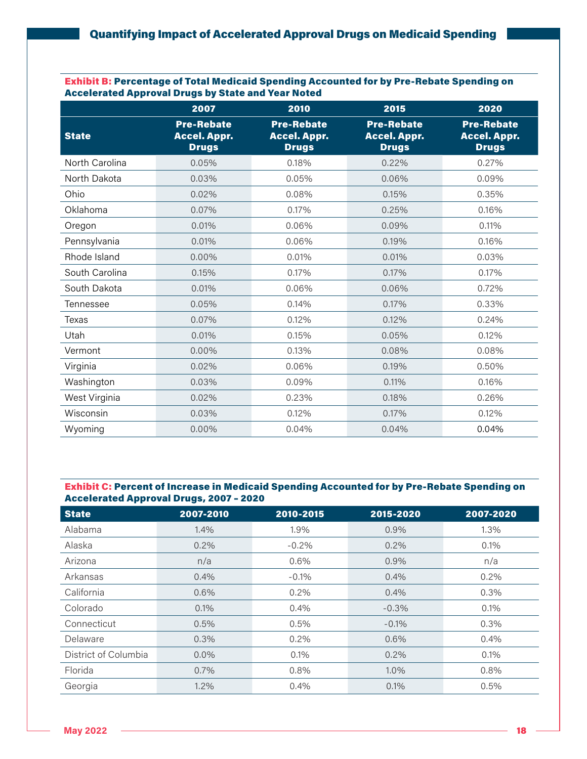#### Exhibit B: Percentage of Total Medicaid Spending Accounted for by Pre-Rebate Spending on Accelerated Approval Drugs by State and Year Noted

|                | 2007                                                     | 2010                                                     | 2015                                                     | 2020                                                     |
|----------------|----------------------------------------------------------|----------------------------------------------------------|----------------------------------------------------------|----------------------------------------------------------|
| <b>State</b>   | <b>Pre-Rebate</b><br><b>Accel. Appr.</b><br><b>Drugs</b> | <b>Pre-Rebate</b><br><b>Accel. Appr.</b><br><b>Drugs</b> | <b>Pre-Rebate</b><br><b>Accel. Appr.</b><br><b>Drugs</b> | <b>Pre-Rebate</b><br><b>Accel. Appr.</b><br><b>Drugs</b> |
| North Carolina | 0.05%                                                    | 0.18%                                                    | 0.22%                                                    | 0.27%                                                    |
| North Dakota   | 0.03%                                                    | 0.05%                                                    | 0.06%                                                    | 0.09%                                                    |
| Ohio           | 0,02%                                                    | 0.08%                                                    | 0.15%                                                    | 0.35%                                                    |
| Oklahoma       | 0.07%                                                    | 0.17%                                                    | 0.25%                                                    | 0.16%                                                    |
| Oregon         | 0.01%                                                    | 0.06%                                                    | 0.09%                                                    | 0.11%                                                    |
| Pennsylvania   | 0.01%                                                    | 0.06%                                                    | 0.19%                                                    | 0.16%                                                    |
| Rhode Island   | $0.00\%$                                                 | 0.01%                                                    | 0.01%                                                    | 0.03%                                                    |
| South Carolina | 0.15%                                                    | 0.17%                                                    | 0.17%                                                    | 0.17%                                                    |
| South Dakota   | 0.01%                                                    | 0.06%                                                    | 0.06%                                                    | 0.72%                                                    |
| Tennessee      | 0.05%                                                    | 0.14%                                                    | 0.17%                                                    | 0.33%                                                    |
| Texas          | 0.07%                                                    | 0.12%                                                    | 0.12%                                                    | 0.24%                                                    |
| Utah           | 0.01%                                                    | 0.15%                                                    | 0.05%                                                    | 0.12%                                                    |
| Vermont        | 0.00%                                                    | 0.13%                                                    | 0.08%                                                    | 0.08%                                                    |
| Virginia       | 0.02%                                                    | 0.06%                                                    | 0.19%                                                    | 0.50%                                                    |
| Washington     | 0.03%                                                    | 0.09%                                                    | 0.11%                                                    | 0.16%                                                    |
| West Virginia  | 0.02%                                                    | 0.23%                                                    | 0.18%                                                    | 0.26%                                                    |
| Wisconsin      | 0.03%                                                    | 0.12%                                                    | 0.17%                                                    | 0.12%                                                    |
| Wyoming        | 0.00%                                                    | 0.04%                                                    | 0.04%                                                    | 0.04%                                                    |

#### Exhibit C: Percent of Increase in Medicaid Spending Accounted for by Pre-Rebate Spending on Accelerated Approval Drugs, 2007 – 2020

| <b>State</b>         | 2007-2010 | 2010-2015 | 2015-2020 | 2007-2020 |
|----------------------|-----------|-----------|-----------|-----------|
| Alabama              | 1.4%      | 1.9%      | 0.9%      | 1.3%      |
| Alaska               | 0.2%      | $-0.2%$   | 0.2%      | 0.1%      |
| Arizona              | n/a       | 0.6%      | 0.9%      | n/a       |
| Arkansas             | 0.4%      | $-0.1%$   | 0.4%      | 0.2%      |
| California           | 0.6%      | 0.2%      | 0.4%      | 0.3%      |
| Colorado             | 0.1%      | 0.4%      | $-0.3\%$  | 0.1%      |
| Connecticut          | 0.5%      | 0.5%      | $-0.1%$   | 0.3%      |
| Delaware             | 0.3%      | 0.2%      | 0.6%      | 0.4%      |
| District of Columbia | $0.0\%$   | 0.1%      | 0.2%      | 0.1%      |
| Florida              | 0.7%      | 0.8%      | 1.0%      | 0.8%      |
| Georgia              | 1.2%      | 0.4%      | 0.1%      | 0.5%      |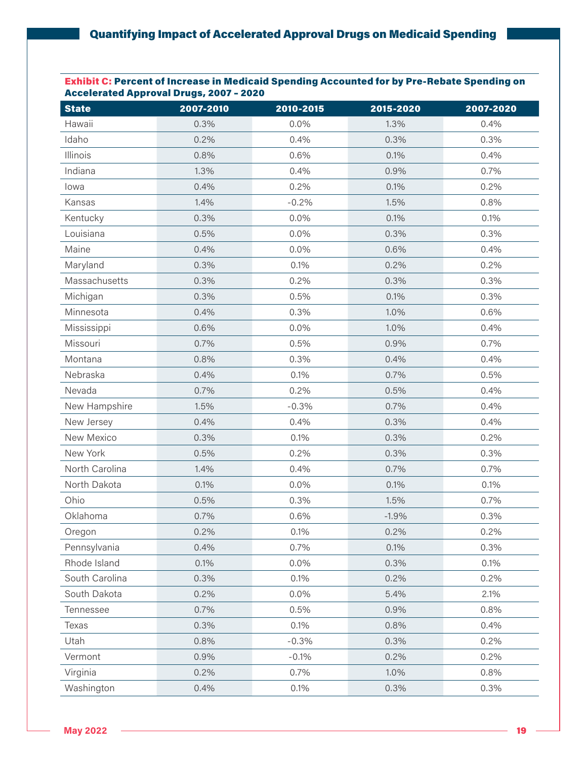#### Exhibit C: Percent of Increase in Medicaid Spending Accounted for by Pre-Rebate Spending on Accelerated Approval Drugs, 2007 – 2020

| <b>State</b>   | 2007-2010 | 2010-2015 | 2015-2020 | 2007-2020 |
|----------------|-----------|-----------|-----------|-----------|
| Hawaii         | 0.3%      | 0.0%      | 1.3%      | 0.4%      |
| Idaho          | 0.2%      | 0.4%      | 0.3%      | 0.3%      |
| Illinois       | 0.8%      | 0.6%      | 0.1%      | 0.4%      |
| Indiana        | 1.3%      | 0.4%      | 0.9%      | 0.7%      |
| lowa           | 0.4%      | 0.2%      | 0.1%      | 0.2%      |
| Kansas         | 1.4%      | $-0.2%$   | 1.5%      | 0.8%      |
| Kentucky       | 0.3%      | 0.0%      | 0.1%      | 0.1%      |
| Louisiana      | 0.5%      | 0.0%      | 0.3%      | 0.3%      |
| Maine          | 0.4%      | 0.0%      | 0.6%      | 0.4%      |
| Maryland       | 0.3%      | 0.1%      | 0.2%      | 0.2%      |
| Massachusetts  | 0.3%      | 0.2%      | 0.3%      | 0.3%      |
| Michigan       | 0.3%      | 0.5%      | 0.1%      | 0.3%      |
| Minnesota      | 0.4%      | 0.3%      | 1.0%      | 0.6%      |
| Mississippi    | 0.6%      | 0.0%      | 1.0%      | 0.4%      |
| Missouri       | 0.7%      | 0.5%      | 0.9%      | 0.7%      |
| Montana        | 0.8%      | 0.3%      | 0.4%      | 0.4%      |
| Nebraska       | 0.4%      | 0.1%      | 0.7%      | 0.5%      |
| Nevada         | 0.7%      | 0.2%      | 0.5%      | 0.4%      |
| New Hampshire  | 1.5%      | $-0.3%$   | 0.7%      | 0.4%      |
| New Jersey     | 0.4%      | 0.4%      | 0.3%      | 0.4%      |
| New Mexico     | 0.3%      | 0.1%      | 0.3%      | 0.2%      |
| New York       | 0.5%      | 0.2%      | 0.3%      | 0.3%      |
| North Carolina | 1.4%      | 0.4%      | 0.7%      | 0.7%      |
| North Dakota   | 0.1%      | 0.0%      | 0.1%      | 0.1%      |
| Ohio           | 0.5%      | 0.3%      | 1.5%      | 0.7%      |
| Oklahoma       | 0.7%      | 0.6%      | $-1.9%$   | 0.3%      |
| Oregon         | 0.2%      | 0.1%      | 0.2%      | 0.2%      |
| Pennsylvania   | 0.4%      | 0.7%      | 0.1%      | 0.3%      |
| Rhode Island   | 0.1%      | 0.0%      | 0.3%      | 0.1%      |
| South Carolina | 0.3%      | 0.1%      | 0.2%      | 0.2%      |
| South Dakota   | 0.2%      | 0.0%      | 5.4%      | 2.1%      |
| Tennessee      | 0.7%      | 0.5%      | 0.9%      | 0.8%      |
| Texas          | 0.3%      | 0.1%      | 0.8%      | 0.4%      |
| Utah           | 0.8%      | $-0.3%$   | 0.3%      | 0.2%      |
| Vermont        | 0.9%      | $-0.1%$   | 0.2%      | 0.2%      |
| Virginia       | 0.2%      | 0.7%      | 1.0%      | 0.8%      |
| Washington     | 0.4%      | 0.1%      | 0.3%      | 0.3%      |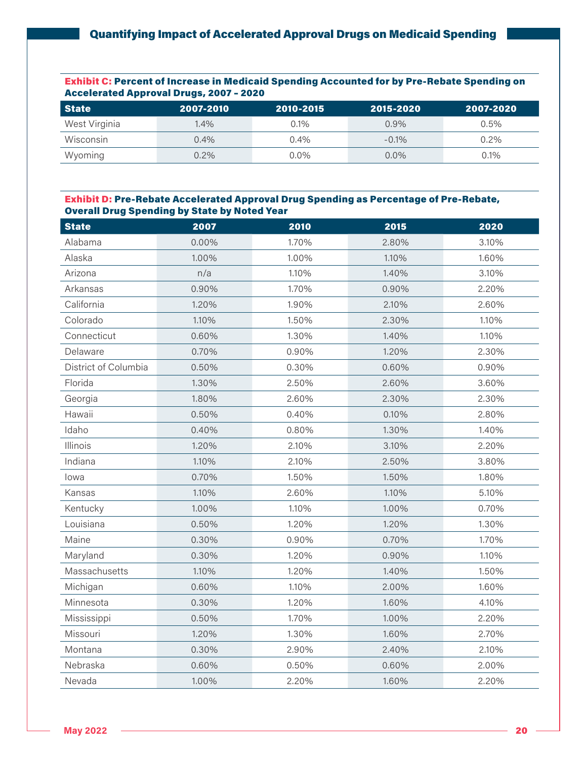Exhibit C: Percent of Increase in Medicaid Spending Accounted for by Pre-Rebate Spending on Accelerated Approval Drugs, 2007 – 2020

| <b>State</b>  | 2007-2010 | 2010-2015 | 2015-2020 | 2007-2020 |
|---------------|-----------|-----------|-----------|-----------|
| West Virginia | $1.4\%$   | $0.1\%$   | 0.9%      | $0.5\%$   |
| Wisconsin     | 0.4%      | $0.4\%$   | $-0.1\%$  | $0.2\%$   |
| Wyoming       | 0.2%      | $0.0\%$   | $0.0\%$   | 0.1%      |

#### Exhibit D: Pre-Rebate Accelerated Approval Drug Spending as Percentage of Pre-Rebate, Overall Drug Spending by State by Noted Year

| <b>State</b>         | 2007  | 2010  | 2015  | 2020  |
|----------------------|-------|-------|-------|-------|
| Alabama              | 0.00% | 1.70% | 2.80% | 3.10% |
| Alaska               | 1.00% | 1.00% | 1.10% | 1.60% |
| Arizona              | n/a   | 1.10% | 1.40% | 3.10% |
| Arkansas             | 0.90% | 1.70% | 0.90% | 2.20% |
| California           | 1.20% | 1.90% | 2.10% | 2.60% |
| Colorado             | 1.10% | 1.50% | 2.30% | 1.10% |
| Connecticut          | 0.60% | 1.30% | 1.40% | 1.10% |
| Delaware             | 0.70% | 0.90% | 1.20% | 2.30% |
| District of Columbia | 0.50% | 0.30% | 0.60% | 0.90% |
| Florida              | 1.30% | 2.50% | 2.60% | 3.60% |
| Georgia              | 1.80% | 2.60% | 2.30% | 2.30% |
| Hawaii               | 0.50% | 0.40% | 0.10% | 2.80% |
| Idaho                | 0.40% | 0.80% | 1.30% | 1.40% |
| Illinois             | 1.20% | 2.10% | 3.10% | 2.20% |
| Indiana              | 1.10% | 2.10% | 2.50% | 3.80% |
| lowa                 | 0.70% | 1.50% | 1.50% | 1.80% |
| Kansas               | 1.10% | 2.60% | 1.10% | 5.10% |
| Kentucky             | 1.00% | 1.10% | 1.00% | 0.70% |
| Louisiana            | 0.50% | 1.20% | 1.20% | 1.30% |
| Maine                | 0.30% | 0.90% | 0.70% | 1.70% |
| Maryland             | 0.30% | 1.20% | 0.90% | 1.10% |
| Massachusetts        | 1.10% | 1.20% | 1.40% | 1.50% |
| Michigan             | 0.60% | 1.10% | 2.00% | 1.60% |
| Minnesota            | 0.30% | 1.20% | 1.60% | 4.10% |
| Mississippi          | 0.50% | 1.70% | 1.00% | 2.20% |
| Missouri             | 1.20% | 1.30% | 1.60% | 2.70% |
| Montana              | 0.30% | 2.90% | 2.40% | 2.10% |
| Nebraska             | 0.60% | 0.50% | 0.60% | 2.00% |
| Nevada               | 1.00% | 2.20% | 1.60% | 2.20% |